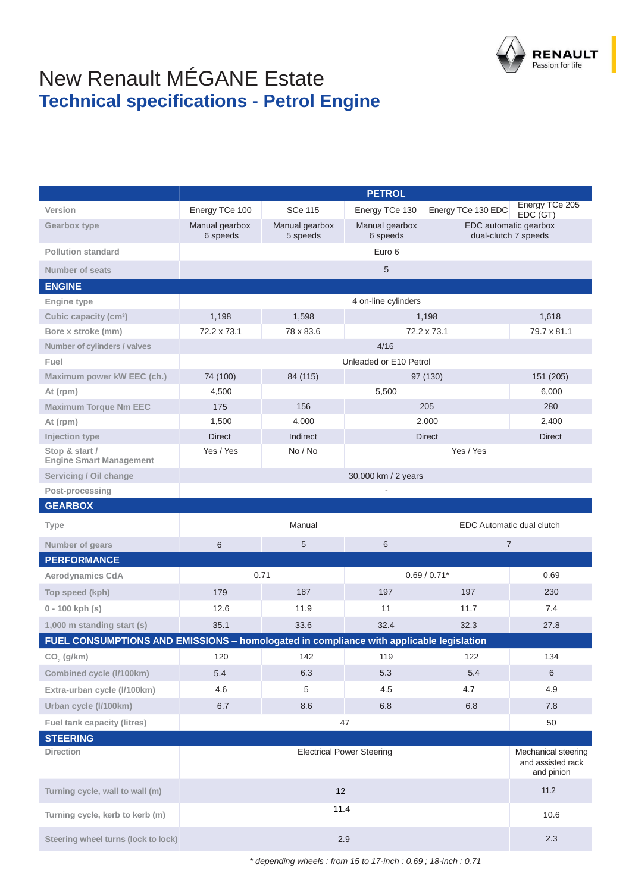

## New Renault MÉGANE Estate **Technical specifications - Petrol Engine**

|                                                                                         | <b>PETROL</b>                       |                            |                                                                             |                    |                                                        |  |
|-----------------------------------------------------------------------------------------|-------------------------------------|----------------------------|-----------------------------------------------------------------------------|--------------------|--------------------------------------------------------|--|
| Version                                                                                 | Energy TCe 100                      | <b>SCe 115</b>             | Energy TCe 130                                                              | Energy TCe 130 EDC | Energy TCe 205<br>EDC (GT)                             |  |
| <b>Gearbox type</b>                                                                     | Manual gearbox<br>6 speeds          | Manual gearbox<br>5 speeds | Manual gearbox<br>EDC automatic gearbox<br>6 speeds<br>dual-clutch 7 speeds |                    |                                                        |  |
| <b>Pollution standard</b>                                                               |                                     |                            | Euro 6                                                                      |                    |                                                        |  |
| <b>Number of seats</b>                                                                  |                                     |                            | 5                                                                           |                    |                                                        |  |
| <b>ENGINE</b>                                                                           |                                     |                            |                                                                             |                    |                                                        |  |
| <b>Engine type</b>                                                                      |                                     |                            | 4 on-line cylinders                                                         |                    |                                                        |  |
| Cubic capacity (cm <sup>3</sup> )                                                       | 1,198                               | 1,598                      |                                                                             | 1,198              | 1,618                                                  |  |
| Bore x stroke (mm)                                                                      | 72.2 x 73.1                         | 78 x 83.6                  |                                                                             | 72.2 x 73.1        | 79.7 x 81.1                                            |  |
| Number of cylinders / valves                                                            |                                     |                            | 4/16                                                                        |                    |                                                        |  |
| Fuel                                                                                    |                                     |                            | Unleaded or E10 Petrol                                                      |                    |                                                        |  |
| Maximum power kW EEC (ch.)                                                              | 74 (100)                            | 84 (115)                   |                                                                             | 97 (130)           | 151 (205)                                              |  |
| At (rpm)                                                                                | 4,500                               |                            | 5,500                                                                       |                    | 6,000                                                  |  |
| <b>Maximum Torque Nm EEC</b>                                                            | 175                                 | 156                        |                                                                             | 205                | 280                                                    |  |
| At (rpm)                                                                                | 1,500                               | 4,000                      |                                                                             | 2,000              | 2,400                                                  |  |
| Injection type                                                                          | <b>Direct</b>                       | Indirect                   |                                                                             | <b>Direct</b>      | <b>Direct</b>                                          |  |
| Stop & start /<br><b>Engine Smart Management</b>                                        | Yes / Yes                           | No / No                    | Yes / Yes                                                                   |                    |                                                        |  |
| Servicing / Oil change                                                                  |                                     |                            | 30,000 km / 2 years                                                         |                    |                                                        |  |
| Post-processing                                                                         |                                     |                            |                                                                             |                    |                                                        |  |
| <b>GEARBOX</b>                                                                          |                                     |                            |                                                                             |                    |                                                        |  |
| <b>Type</b>                                                                             | Manual<br>EDC Automatic dual clutch |                            |                                                                             |                    |                                                        |  |
| Number of gears                                                                         | 6                                   | 5                          | 6                                                                           | $\overline{7}$     |                                                        |  |
| <b>PERFORMANCE</b>                                                                      |                                     |                            |                                                                             |                    |                                                        |  |
| <b>Aerodynamics CdA</b>                                                                 | 0.71                                |                            | $0.69 / 0.71*$                                                              |                    | 0.69                                                   |  |
| Top speed (kph)                                                                         | 179                                 | 187                        | 197                                                                         | 197                | 230                                                    |  |
| $0 - 100$ kph (s)                                                                       | 12.6                                | 11.9                       | 11                                                                          | 11.7               | 7.4                                                    |  |
| 1,000 m standing start (s)                                                              | 35.1                                | 33.6                       | 32.4                                                                        | 32.3               | 27.8                                                   |  |
| FUEL CONSUMPTIONS AND EMISSIONS - homologated in compliance with applicable legislation |                                     |                            |                                                                             |                    |                                                        |  |
| $CO2$ (g/km)                                                                            | 120                                 | 142                        | 119                                                                         | 122                | 134                                                    |  |
| Combined cycle (I/100km)                                                                | 5.4                                 | 6.3                        | 5.3                                                                         | 5.4                | 6                                                      |  |
| Extra-urban cycle (I/100km)                                                             | 4.6                                 | 5                          | 4.5                                                                         | 4.7                | 4.9                                                    |  |
| Urban cycle (I/100km)                                                                   | 6.7                                 | 8.6                        | 6.8                                                                         | 6.8                | 7.8                                                    |  |
| Fuel tank capacity (litres)                                                             |                                     |                            | 47                                                                          |                    | 50                                                     |  |
| <b>STEERING</b>                                                                         |                                     |                            |                                                                             |                    |                                                        |  |
| <b>Direction</b>                                                                        | <b>Electrical Power Steering</b>    |                            |                                                                             |                    | Mechanical steering<br>and assisted rack<br>and pinion |  |
| Turning cycle, wall to wall (m)                                                         | 12                                  |                            |                                                                             | 11.2               |                                                        |  |
| Turning cycle, kerb to kerb (m)                                                         | 11.4                                |                            |                                                                             | 10.6               |                                                        |  |
| Steering wheel turns (lock to lock)                                                     | 2.9                                 |                            |                                                                             | 2.3                |                                                        |  |

*\* depending wheels : from 15 to 17-inch : 0.69 ; 18-inch : 0.71*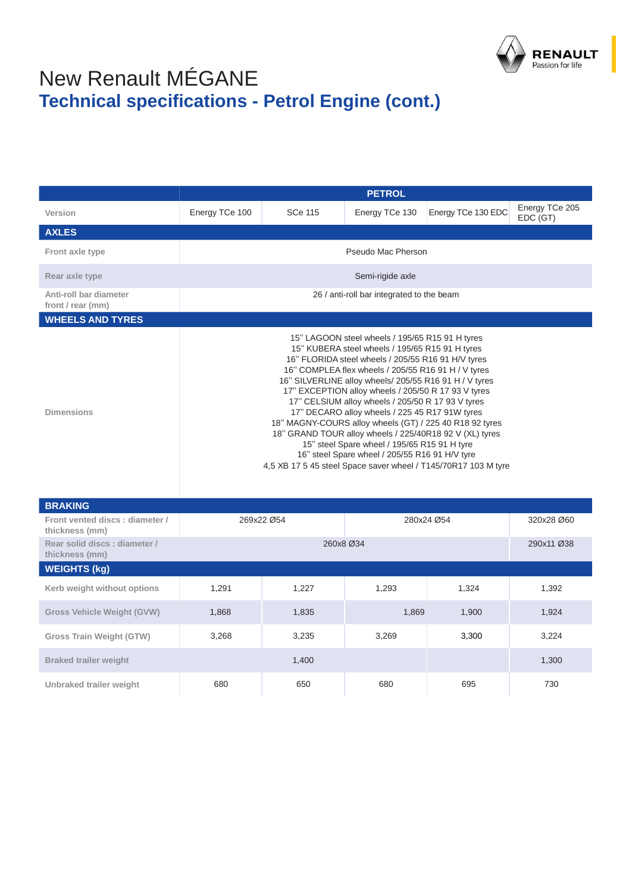

## New Renault MÉGANE **Technical specifications - Petrol Engine (cont.)**

|                                                  | <b>PETROL</b>                                                                                                                                                                                                                                                                                                                                                                                                                                                                                                                                                                                                                                                                                                                     |                    |                  |                    |                            |  |  |
|--------------------------------------------------|-----------------------------------------------------------------------------------------------------------------------------------------------------------------------------------------------------------------------------------------------------------------------------------------------------------------------------------------------------------------------------------------------------------------------------------------------------------------------------------------------------------------------------------------------------------------------------------------------------------------------------------------------------------------------------------------------------------------------------------|--------------------|------------------|--------------------|----------------------------|--|--|
| Version                                          | Energy TCe 100                                                                                                                                                                                                                                                                                                                                                                                                                                                                                                                                                                                                                                                                                                                    | <b>SCe 115</b>     | Energy TCe 130   | Energy TCe 130 EDC | Energy TCe 205<br>EDC (GT) |  |  |
| <b>AXLES</b>                                     |                                                                                                                                                                                                                                                                                                                                                                                                                                                                                                                                                                                                                                                                                                                                   |                    |                  |                    |                            |  |  |
| Front axle type                                  |                                                                                                                                                                                                                                                                                                                                                                                                                                                                                                                                                                                                                                                                                                                                   | Pseudo Mac Pherson |                  |                    |                            |  |  |
| Rear axle type                                   |                                                                                                                                                                                                                                                                                                                                                                                                                                                                                                                                                                                                                                                                                                                                   |                    | Semi-rigide axle |                    |                            |  |  |
| Anti-roll bar diameter<br>front / rear (mm)      | 26 / anti-roll bar integrated to the beam                                                                                                                                                                                                                                                                                                                                                                                                                                                                                                                                                                                                                                                                                         |                    |                  |                    |                            |  |  |
| <b>WHEELS AND TYRES</b>                          |                                                                                                                                                                                                                                                                                                                                                                                                                                                                                                                                                                                                                                                                                                                                   |                    |                  |                    |                            |  |  |
| <b>Dimensions</b>                                | 15" LAGOON steel wheels / 195/65 R15 91 H tyres<br>15" KUBERA steel wheels / 195/65 R15 91 H tyres<br>16" FLORIDA steel wheels / 205/55 R16 91 H/V tyres<br>16" COMPLEA flex wheels / 205/55 R16 91 H / V tyres<br>16" SILVERLINE alloy wheels/ 205/55 R16 91 H / V tyres<br>17" EXCEPTION alloy wheels / 205/50 R 17 93 V tyres<br>17" CELSIUM alloy wheels / 205/50 R 17 93 V tyres<br>17" DECARO alloy wheels / 225 45 R17 91W tyres<br>18" MAGNY-COURS alloy wheels (GT) / 225 40 R18 92 tyres<br>18" GRAND TOUR alloy wheels / 225/40R18 92 V (XL) tyres<br>15" steel Spare wheel / 195/65 R15 91 H tyre<br>16" steel Spare wheel / 205/55 R16 91 H/V tyre<br>4,5 XB 17 5 45 steel Space saver wheel / T145/70R17 103 M tyre |                    |                  |                    |                            |  |  |
| <b>BRAKING</b>                                   |                                                                                                                                                                                                                                                                                                                                                                                                                                                                                                                                                                                                                                                                                                                                   |                    |                  |                    |                            |  |  |
| Front vented discs: diameter /<br>thickness (mm) |                                                                                                                                                                                                                                                                                                                                                                                                                                                                                                                                                                                                                                                                                                                                   | 269x22 Ø54         |                  | 280x24 Ø54         | 320x28 Ø60                 |  |  |
| Rear solid discs: diameter /<br>thickness (mm)   | 260x8 Ø34<br>290x11 Ø38                                                                                                                                                                                                                                                                                                                                                                                                                                                                                                                                                                                                                                                                                                           |                    |                  |                    |                            |  |  |

| thickness (mm)                    |       |       |       |       |       |  |  |
|-----------------------------------|-------|-------|-------|-------|-------|--|--|
| <b>WEIGHTS (kg)</b>               |       |       |       |       |       |  |  |
| Kerb weight without options       | 1,291 | 1,227 | 1,293 | 1,324 | 1,392 |  |  |
| <b>Gross Vehicle Weight (GVW)</b> | 1,868 | 1,835 | 1,869 | 1,900 | 1,924 |  |  |
| <b>Gross Train Weight (GTW)</b>   | 3,268 | 3,235 | 3,269 | 3,300 | 3,224 |  |  |
| <b>Braked trailer weight</b>      |       | 1,400 |       |       | 1,300 |  |  |
| Unbraked trailer weight           | 680   | 650   | 680   | 695   | 730   |  |  |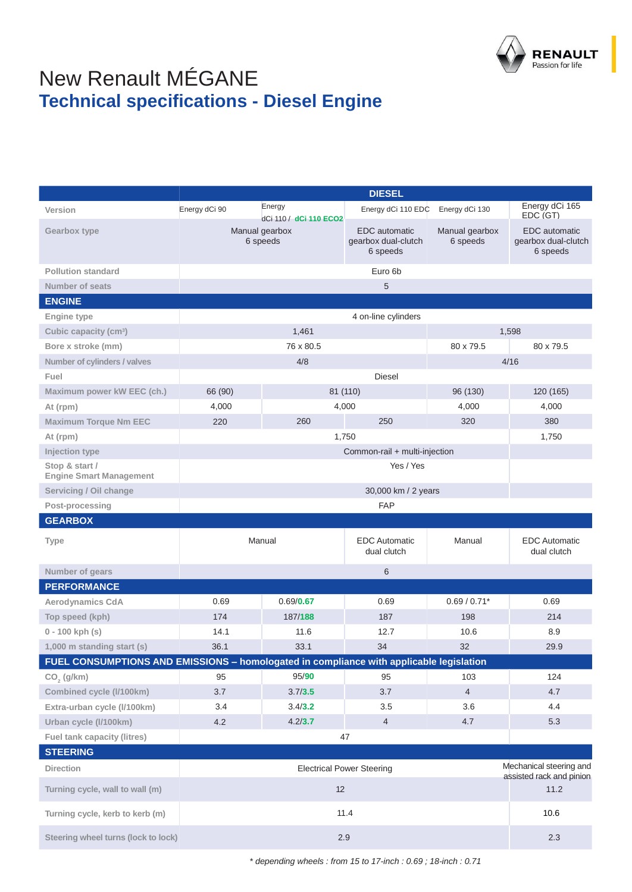

## New Renault MÉGANE **Technical specifications - Diesel Engine**

|                                                  | <b>DIESEL</b>                                                                           |                                  |                                                         |                            |                                                         |  |
|--------------------------------------------------|-----------------------------------------------------------------------------------------|----------------------------------|---------------------------------------------------------|----------------------------|---------------------------------------------------------|--|
| Version                                          | Energy dCi 90                                                                           | Energy<br>dCi 110 / dCi 110 ECO2 | Energy dCi 110 EDC                                      | Energy dCi 130             | Energy dCi 165<br>EDC (GT)                              |  |
| <b>Gearbox type</b>                              |                                                                                         | Manual gearbox<br>6 speeds       | <b>EDC</b> automatic<br>gearbox dual-clutch<br>6 speeds | Manual gearbox<br>6 speeds | <b>EDC</b> automatic<br>gearbox dual-clutch<br>6 speeds |  |
| <b>Pollution standard</b>                        |                                                                                         | Euro 6b                          |                                                         |                            |                                                         |  |
| <b>Number of seats</b>                           |                                                                                         |                                  | 5                                                       |                            |                                                         |  |
| <b>ENGINE</b>                                    |                                                                                         |                                  |                                                         |                            |                                                         |  |
| <b>Engine type</b>                               |                                                                                         |                                  | 4 on-line cylinders                                     |                            |                                                         |  |
| Cubic capacity (cm <sup>3</sup> )                |                                                                                         | 1,461                            |                                                         |                            | 1,598                                                   |  |
| Bore x stroke (mm)                               |                                                                                         | 76 x 80.5                        |                                                         | 80 x 79.5                  | 80 x 79.5                                               |  |
| Number of cylinders / valves                     |                                                                                         | 4/8                              |                                                         |                            | 4/16                                                    |  |
| Fuel                                             |                                                                                         |                                  | <b>Diesel</b>                                           |                            |                                                         |  |
| Maximum power kW EEC (ch.)                       | 66 (90)                                                                                 |                                  | 81 (110)                                                | 96 (130)                   | 120 (165)                                               |  |
| At (rpm)                                         | 4,000                                                                                   |                                  | 4,000                                                   | 4,000                      | 4,000                                                   |  |
| <b>Maximum Torque Nm EEC</b>                     | 220                                                                                     | 260                              | 250                                                     | 320                        | 380                                                     |  |
| At (rpm)                                         |                                                                                         |                                  | 1,750                                                   |                            | 1,750                                                   |  |
| Injection type                                   |                                                                                         |                                  | Common-rail + multi-injection                           |                            |                                                         |  |
| Stop & start /<br><b>Engine Smart Management</b> | Yes / Yes                                                                               |                                  |                                                         |                            |                                                         |  |
| Servicing / Oil change                           | 30,000 km / 2 years                                                                     |                                  |                                                         |                            |                                                         |  |
| Post-processing                                  |                                                                                         |                                  | <b>FAP</b>                                              |                            |                                                         |  |
| <b>GEARBOX</b>                                   |                                                                                         |                                  |                                                         |                            |                                                         |  |
| <b>Type</b>                                      | <b>EDC</b> Automatic<br>Manual<br>dual clutch                                           |                                  |                                                         | Manual                     | <b>EDC</b> Automatic<br>dual clutch                     |  |
| Number of gears                                  |                                                                                         | 6                                |                                                         |                            |                                                         |  |
| <b>PERFORMANCE</b>                               |                                                                                         |                                  |                                                         |                            |                                                         |  |
| <b>Aerodynamics CdA</b>                          | 0.69                                                                                    | 0.69/0.67                        | 0.69                                                    | $0.69 / 0.71*$             | 0.69                                                    |  |
| Top speed (kph)                                  | 174                                                                                     | 187/188                          | 187                                                     | 198                        | 214                                                     |  |
| $0 - 100$ kph (s)                                | 14.1                                                                                    | 11.6                             | 12.7                                                    | 10.6                       | 8.9                                                     |  |
| 1,000 m standing start (s)                       | 36.1                                                                                    | 33.1                             | 34                                                      | 32                         | 29.9                                                    |  |
|                                                  | FUEL CONSUMPTIONS AND EMISSIONS - homologated in compliance with applicable legislation |                                  |                                                         |                            |                                                         |  |
| CO, (g/km)                                       | 95                                                                                      | 95/90                            | 95                                                      | 103                        | 124                                                     |  |
| Combined cycle (I/100km)                         | 3.7                                                                                     | 3.7/3.5                          | 3.7                                                     | $\overline{4}$             | 4.7                                                     |  |
| Extra-urban cycle (I/100km)                      | 3.4                                                                                     | 3.4/3.2                          | 3.5                                                     | 3.6                        | 4.4                                                     |  |
| Urban cycle (I/100km)                            | 4.2                                                                                     | 4.2/3.7                          | 4                                                       | 4.7                        | 5.3                                                     |  |
| <b>Fuel tank capacity (litres)</b>               |                                                                                         |                                  | 47                                                      |                            |                                                         |  |
| <b>STEERING</b>                                  |                                                                                         |                                  |                                                         |                            |                                                         |  |
| <b>Direction</b>                                 | <b>Electrical Power Steering</b>                                                        |                                  |                                                         |                            | Mechanical steering and<br>assisted rack and pinion     |  |
| Turning cycle, wall to wall (m)                  | 12                                                                                      |                                  |                                                         |                            | 11.2                                                    |  |
| Turning cycle, kerb to kerb (m)                  | 11.4                                                                                    |                                  |                                                         | 10.6                       |                                                         |  |
| Steering wheel turns (lock to lock)              | 2.9                                                                                     |                                  |                                                         |                            | 2.3                                                     |  |

*\* depending wheels : from 15 to 17-inch : 0.69 ; 18-inch : 0.71*